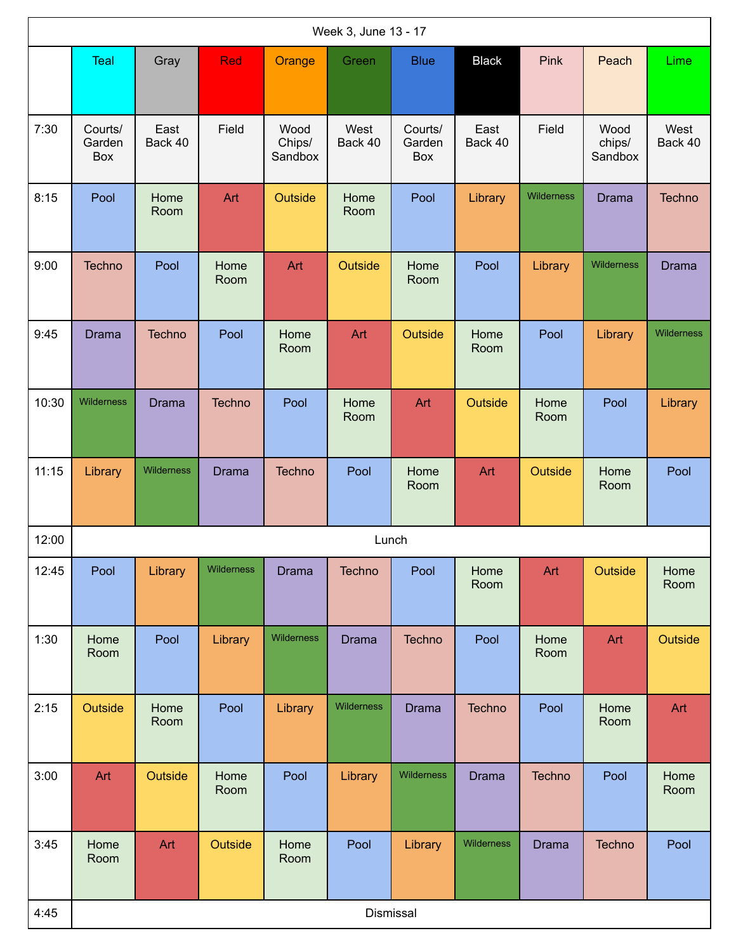| Week 3, June 13 - 17 |                          |                 |               |                           |                 |                          |                 |              |                           |                 |
|----------------------|--------------------------|-----------------|---------------|---------------------------|-----------------|--------------------------|-----------------|--------------|---------------------------|-----------------|
|                      | <b>Teal</b>              | Gray            | <b>Red</b>    | Orange                    | Green           | <b>Blue</b>              | <b>Black</b>    | Pink         | Peach                     | Lime            |
| 7:30                 | Courts/<br>Garden<br>Box | East<br>Back 40 | Field         | Wood<br>Chips/<br>Sandbox | West<br>Back 40 | Courts/<br>Garden<br>Box | East<br>Back 40 | Field        | Wood<br>chips/<br>Sandbox | West<br>Back 40 |
| 8:15                 | Pool                     | Home<br>Room    | Art           | Outside                   | Home<br>Room    | Pool                     | Library         | Wilderness   | <b>Drama</b>              | <b>Techno</b>   |
| 9:00                 | Techno                   | Pool            | Home<br>Room  | Art                       | Outside         | Home<br>Room             | Pool            | Library      | Wilderness                | <b>Drama</b>    |
| 9:45                 | <b>Drama</b>             | <b>Techno</b>   | Pool          | Home<br>Room              | Art             | Outside                  | Home<br>Room    | Pool         | Library                   | Wilderness      |
| 10:30                | Wilderness               | <b>Drama</b>    | <b>Techno</b> | Pool                      | Home<br>Room    | Art                      | Outside         | Home<br>Room | Pool                      | Library         |
| 11:15                | Library                  | Wilderness      | <b>Drama</b>  | Techno                    | Pool            | Home<br>Room             | Art             | Outside      | Home<br>Room              | Pool            |
| 12:00                |                          |                 |               |                           | Lunch           |                          |                 |              |                           |                 |
| 12:45                | Pool                     | Library         | Wilderness    | <b>Drama</b>              | Techno          | Pool                     | Home<br>Room    | Art          | Outside                   | Home<br>Room    |
| 1:30                 | Home<br>Room             | Pool            | Library       | Wilderness                | <b>Drama</b>    | <b>Techno</b>            | Pool            | Home<br>Room | Art                       | Outside         |
| 2:15                 | Outside                  | Home<br>Room    | Pool          | Library                   | Wilderness      | <b>Drama</b>             | <b>Techno</b>   | Pool         | Home<br>Room              | Art             |
| 3:00                 | Art                      | Outside         | Home<br>Room  | Pool                      | Library         | Wilderness               | <b>Drama</b>    | Techno       | Pool                      | Home<br>Room    |
| 3:45                 | Home<br>Room             | Art             | Outside       | Home<br>Room              | Pool            | Library                  | Wilderness      | <b>Drama</b> | Techno                    | Pool            |
| 4:45                 |                          |                 |               |                           | Dismissal       |                          |                 |              |                           |                 |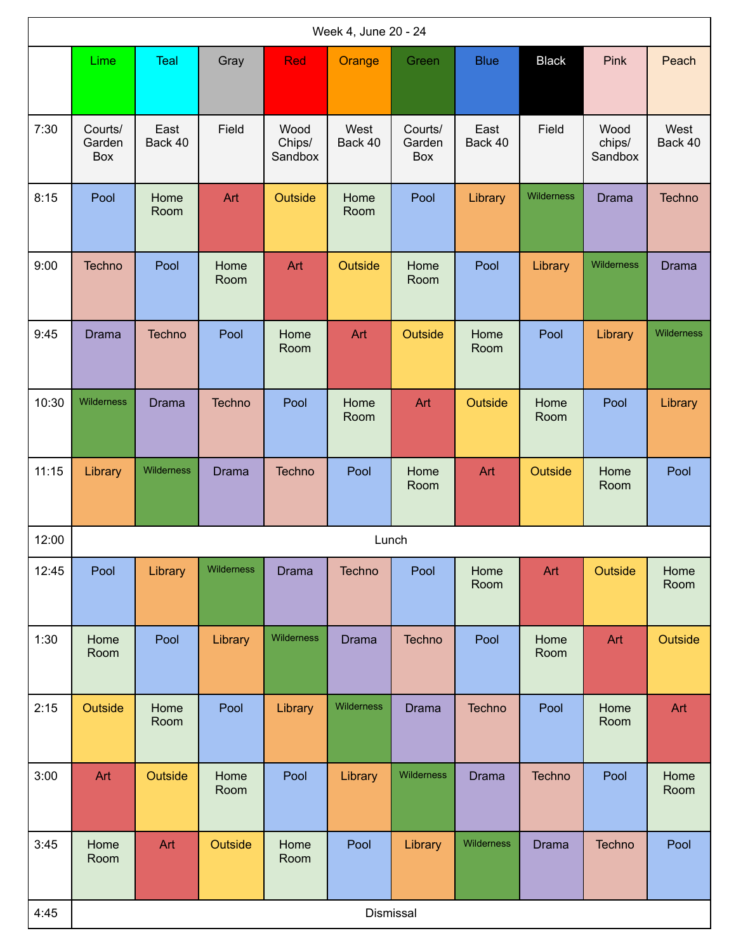|       | Week 4, June 20 - 24<br>Lime<br>Pink<br><b>Teal</b><br><b>Red</b><br><b>Blue</b><br><b>Black</b><br>Gray<br>Green |                 |               |                           |                 |                          |                 |              |                           |                 |
|-------|-------------------------------------------------------------------------------------------------------------------|-----------------|---------------|---------------------------|-----------------|--------------------------|-----------------|--------------|---------------------------|-----------------|
|       |                                                                                                                   |                 |               |                           | Orange          |                          |                 |              |                           | Peach           |
| 7:30  | Courts/<br>Garden<br>Box                                                                                          | East<br>Back 40 | Field         | Wood<br>Chips/<br>Sandbox | West<br>Back 40 | Courts/<br>Garden<br>Box | East<br>Back 40 | Field        | Wood<br>chips/<br>Sandbox | West<br>Back 40 |
| 8:15  | Pool                                                                                                              | Home<br>Room    | Art           | Outside                   | Home<br>Room    | Pool                     | Library         | Wilderness   | <b>Drama</b>              | Techno          |
| 9:00  | Techno                                                                                                            | Pool            | Home<br>Room  | Art                       | Outside         | Home<br>Room             | Pool            | Library      | Wilderness                | <b>Drama</b>    |
| 9:45  | <b>Drama</b>                                                                                                      | <b>Techno</b>   | Pool          | Home<br>Room              | Art             | Outside                  | Home<br>Room    | Pool         | Library                   | Wilderness      |
| 10:30 | Wilderness                                                                                                        | <b>Drama</b>    | <b>Techno</b> | Pool                      | Home<br>Room    | Art                      | Outside         | Home<br>Room | Pool                      | Library         |
| 11:15 | Library                                                                                                           | Wilderness      | <b>Drama</b>  | Techno                    | Pool            | Home<br>Room             | Art             | Outside      | Home<br>Room              | Pool            |
| 12:00 |                                                                                                                   |                 |               |                           |                 | Lunch                    |                 |              |                           |                 |
| 12:45 | Pool                                                                                                              | Library         | Wilderness    | <b>Drama</b>              | Techno          | Pool                     | Home<br>Room    | Art          | Outside                   | Home<br>Room    |
| 1:30  | Home<br>Room                                                                                                      | Pool            | Library       | Wilderness                | <b>Drama</b>    | Techno                   | Pool            | Home<br>Room | Art                       | Outside         |
| 2:15  | Outside                                                                                                           | Home<br>Room    | Pool          | Library                   | Wilderness      | <b>Drama</b>             | <b>Techno</b>   | Pool         | Home<br>Room              | Art             |
| 3:00  | Art                                                                                                               | Outside         | Home<br>Room  | Pool                      | Library         | Wilderness               | <b>Drama</b>    | Techno       | Pool                      | Home<br>Room    |
| 3:45  | Home<br>Room                                                                                                      | Art             | Outside       | Home<br>Room              | Pool            | Library                  | Wilderness      | <b>Drama</b> | Techno                    | Pool            |
| 4:45  |                                                                                                                   |                 |               |                           |                 | Dismissal                |                 |              |                           |                 |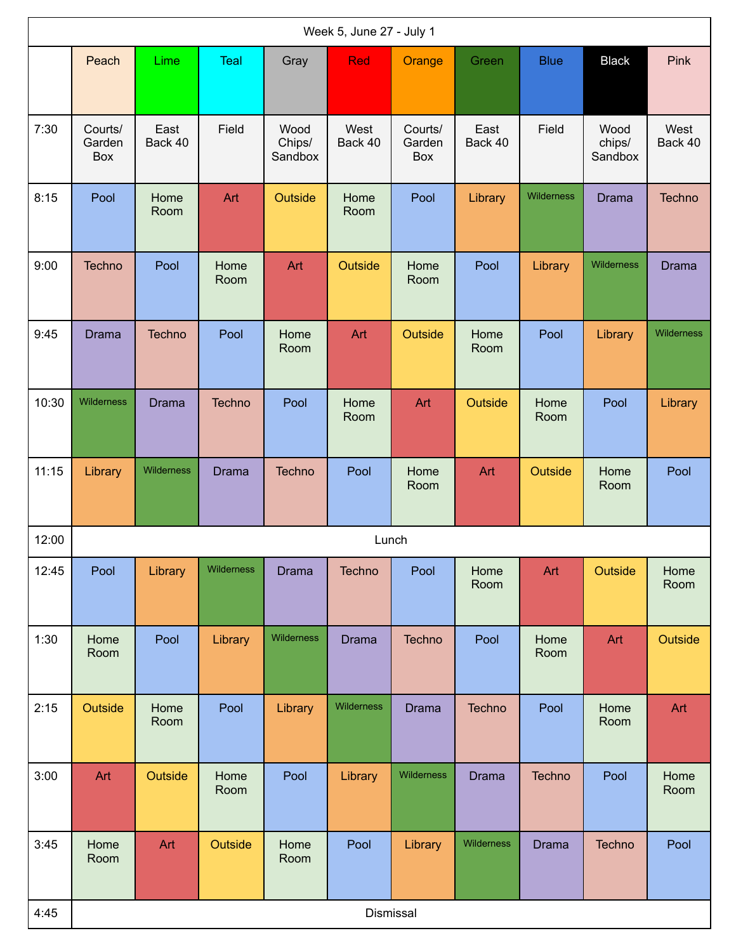|       | Week 5, June 27 - July 1 |                 |               |                           |                 |                          |                 |              |                           |                 |  |
|-------|--------------------------|-----------------|---------------|---------------------------|-----------------|--------------------------|-----------------|--------------|---------------------------|-----------------|--|
|       | Peach                    | Lime            | Teal          | Gray                      | <b>Red</b>      | Orange                   | Green           | <b>Blue</b>  | <b>Black</b>              | Pink            |  |
| 7:30  | Courts/<br>Garden<br>Box | East<br>Back 40 | Field         | Wood<br>Chips/<br>Sandbox | West<br>Back 40 | Courts/<br>Garden<br>Box | East<br>Back 40 | Field        | Wood<br>chips/<br>Sandbox | West<br>Back 40 |  |
| 8:15  | Pool                     | Home<br>Room    | Art           | Outside                   | Home<br>Room    | Pool                     | Library         | Wilderness   | <b>Drama</b>              | Techno          |  |
| 9:00  | Techno                   | Pool            | Home<br>Room  | Art                       | Outside         | Home<br>Room             | Pool            | Library      | <b>Wilderness</b>         | <b>Drama</b>    |  |
| 9:45  | <b>Drama</b>             | <b>Techno</b>   | Pool          | Home<br>Room              | Art             | Outside                  | Home<br>Room    | Pool         | Library                   | Wilderness      |  |
| 10:30 | Wilderness               | <b>Drama</b>    | <b>Techno</b> | Pool                      | Home<br>Room    | Art                      | Outside         | Home<br>Room | Pool                      | Library         |  |
| 11:15 | Library                  | Wilderness      | <b>Drama</b>  | Techno                    | Pool            | Home<br>Room             | Art             | Outside      | Home<br>Room              | Pool            |  |
| 12:00 |                          |                 |               |                           | Lunch           |                          |                 |              |                           |                 |  |
| 12:45 | Pool                     | Library         | Wilderness    | <b>Drama</b>              | Techno          | Pool                     | Home<br>Room    | Art          | Outside                   | Home<br>Room    |  |
| 1:30  | Home<br>Room             | Pool            | Library       | Wilderness                | <b>Drama</b>    | Techno                   | Pool            | Home<br>Room | Art                       | Outside         |  |
| 2:15  | Outside                  | Home<br>Room    | Pool          | Library                   | Wilderness      | <b>Drama</b>             | <b>Techno</b>   | Pool         | Home<br>Room              | Art             |  |
| 3:00  | Art                      | Outside         | Home<br>Room  | Pool                      | Library         | Wilderness               | <b>Drama</b>    | Techno       | Pool                      | Home<br>Room    |  |
| 3:45  | Home<br>Room             | Art             | Outside       | Home<br>Room              | Pool            | Library                  | Wilderness      | <b>Drama</b> | Techno                    | Pool            |  |
| 4:45  |                          |                 |               |                           |                 | Dismissal                |                 |              |                           |                 |  |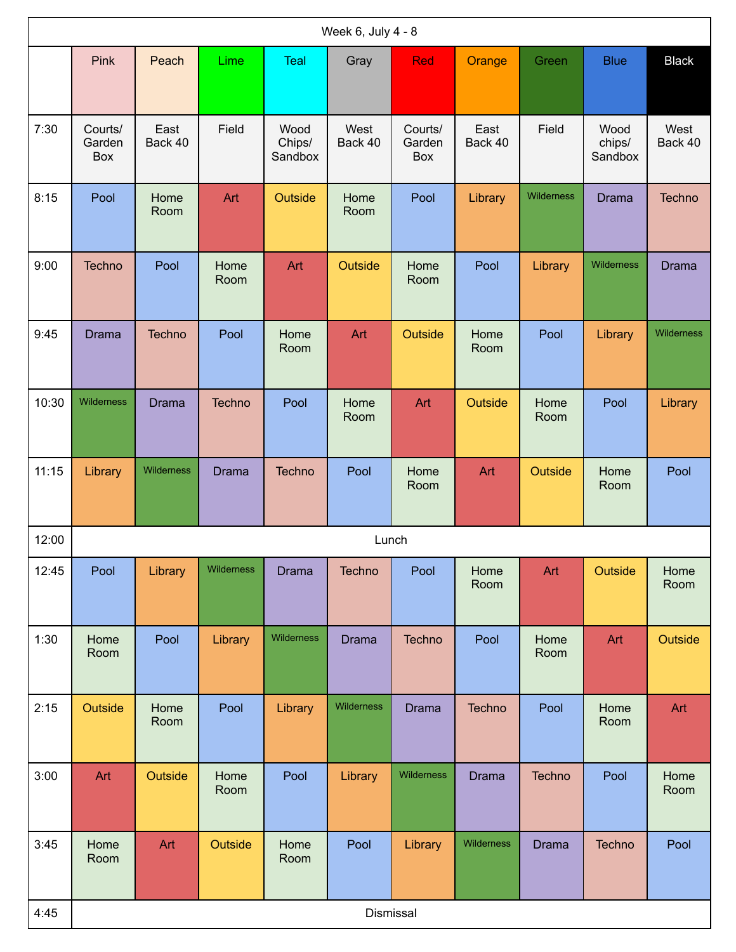|       | Week 6, July 4 - 8<br>Pink<br>Lime<br>Teal<br>Gray<br><b>Red</b><br>Peach<br>Orange<br>Green<br><b>Blue</b> |                 |               |                           |                 |                          |                 |              |                           |                 |  |
|-------|-------------------------------------------------------------------------------------------------------------|-----------------|---------------|---------------------------|-----------------|--------------------------|-----------------|--------------|---------------------------|-----------------|--|
|       |                                                                                                             |                 |               |                           |                 |                          |                 |              |                           | <b>Black</b>    |  |
| 7:30  | Courts/<br>Garden<br>Box                                                                                    | East<br>Back 40 | Field         | Wood<br>Chips/<br>Sandbox | West<br>Back 40 | Courts/<br>Garden<br>Box | East<br>Back 40 | Field        | Wood<br>chips/<br>Sandbox | West<br>Back 40 |  |
| 8:15  | Pool                                                                                                        | Home<br>Room    | Art           | Outside                   | Home<br>Room    | Pool                     | Library         | Wilderness   | <b>Drama</b>              | Techno          |  |
| 9:00  | <b>Techno</b>                                                                                               | Pool            | Home<br>Room  | Art                       | Outside         | Home<br>Room             | Pool            | Library      | Wilderness                | <b>Drama</b>    |  |
| 9:45  | <b>Drama</b>                                                                                                | Techno          | Pool          | Home<br>Room              | Art             | Outside                  | Home<br>Room    | Pool         | Library                   | Wilderness      |  |
| 10:30 | Wilderness                                                                                                  | <b>Drama</b>    | <b>Techno</b> | Pool                      | Home<br>Room    | Art                      | Outside         | Home<br>Room | Pool                      | Library         |  |
| 11:15 | Library                                                                                                     | Wilderness      | <b>Drama</b>  | Techno                    | Pool            | Home<br>Room             | Art             | Outside      | Home<br>Room              | Pool            |  |
| 12:00 |                                                                                                             |                 |               |                           |                 | Lunch                    |                 |              |                           |                 |  |
| 12:45 | Pool                                                                                                        | Library         | Wilderness    | <b>Drama</b>              | Techno          | Pool                     | Home<br>Room    | Art          | Outside                   | Home<br>Room    |  |
| 1:30  | Home<br>Room                                                                                                | Pool            | Library       | Wilderness                | <b>Drama</b>    | <b>Techno</b>            | Pool            | Home<br>Room | Art                       | Outside         |  |
| 2:15  | Outside                                                                                                     | Home<br>Room    | Pool          | Library                   | Wilderness      | <b>Drama</b>             | <b>Techno</b>   | Pool         | Home<br>Room              | Art             |  |
| 3:00  | Art                                                                                                         | Outside         | Home<br>Room  | Pool                      | Library         | Wilderness               | <b>Drama</b>    | Techno       | Pool                      | Home<br>Room    |  |
| 3:45  | Home<br>Room                                                                                                | Art             | Outside       | Home<br>Room              | Pool            | Library                  | Wilderness      | <b>Drama</b> | Techno                    | Pool            |  |
| 4:45  |                                                                                                             |                 |               |                           |                 | Dismissal                |                 |              |                           |                 |  |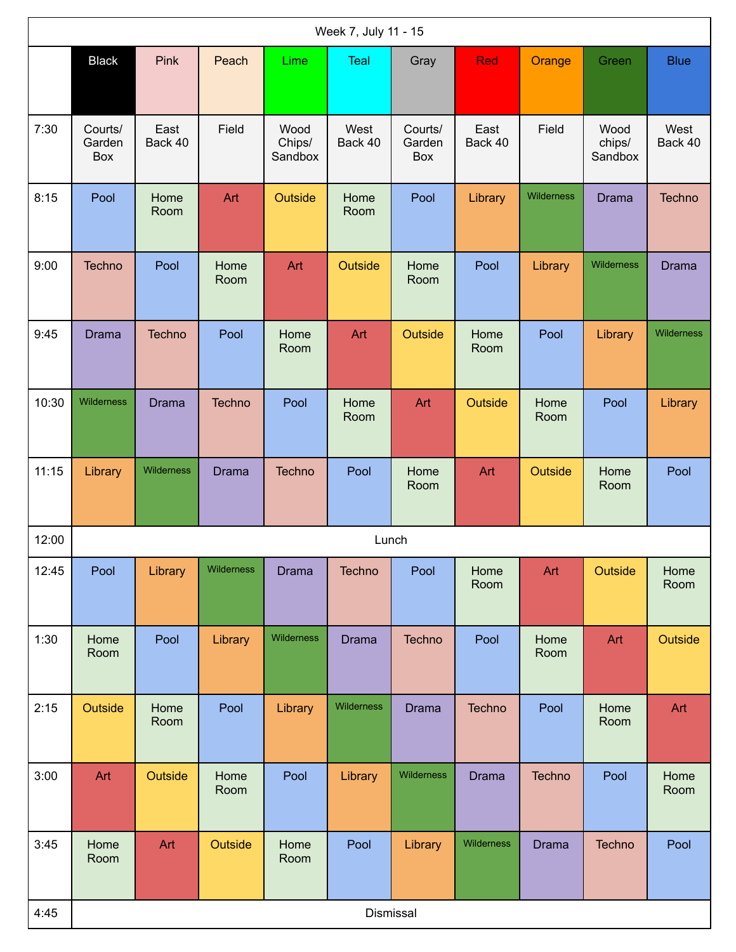|       | Week 7, July 11 - 15     |                 |               |                           |                 |                          |                 |              |                           |                 |  |  |
|-------|--------------------------|-----------------|---------------|---------------------------|-----------------|--------------------------|-----------------|--------------|---------------------------|-----------------|--|--|
|       | <b>Black</b>             | Pink            | Peach         | Lime                      | Teal            | Gray                     | <b>Red</b>      | Orange       | Green                     | <b>Blue</b>     |  |  |
| 7:30  | Courts/<br>Garden<br>Box | East<br>Back 40 | Field         | Wood<br>Chips/<br>Sandbox | West<br>Back 40 | Courts/<br>Garden<br>Box | East<br>Back 40 | Field        | Wood<br>chips/<br>Sandbox | West<br>Back 40 |  |  |
| 8:15  | Pool                     | Home<br>Room    | Art           | Outside                   | Home<br>Room    | Pool                     | Library         | Wilderness   | <b>Drama</b>              | <b>Techno</b>   |  |  |
| 9:00  | <b>Techno</b>            | Pool            | Home<br>Room  | Art                       | Outside         | Home<br>Room             | Pool            | Library      | Wilderness                | Drama           |  |  |
| 9:45  | Drama                    | Techno          | Pool          | Home<br>Room              | Art             | <b>Outside</b>           | Home<br>Room    | Pool         | Library                   | Wilderness      |  |  |
| 10:30 | Wilderness               | <b>Drama</b>    | <b>Techno</b> | Pool                      | Home<br>Room    | Art                      | Outside         | Home<br>Room | Pool                      | Library         |  |  |
| 11:15 | Library                  | Wilderness      | <b>Drama</b>  | Techno                    | Pool            | Home<br>Room             | Art             | Outside      | Home<br>Room              | Pool            |  |  |
| 12:00 |                          |                 |               |                           |                 | Lunch                    |                 |              |                           |                 |  |  |
| 12:45 | Pool                     | Library         | Wilderness    | Drama                     | Techno          | Pool                     | Home<br>Room    | Art          | Outside                   | Home<br>Room    |  |  |
| 1:30  | Home<br>Room             | Pool            | Library       | Wilderness                | <b>Drama</b>    | Techno                   | Pool            | Home<br>Room | Art                       | Outside         |  |  |
| 2:15  | Outside                  | Home<br>Room    | Pool          | Library                   | Wilderness      | <b>Drama</b>             | <b>Techno</b>   | Pool         | Home<br>Room              | Art             |  |  |
| 3:00  | Art                      | Outside         | Home<br>Room  | Pool                      | Library         | Wilderness               | <b>Drama</b>    | Techno       | Pool                      | Home<br>Room    |  |  |
| 3:45  | Home<br>Room             | Art             | Outside       | Home<br>Room              | Pool            | Library                  | Wilderness      | <b>Drama</b> | Techno                    | Pool            |  |  |
| 4:45  |                          |                 |               |                           |                 | Dismissal                |                 |              |                           |                 |  |  |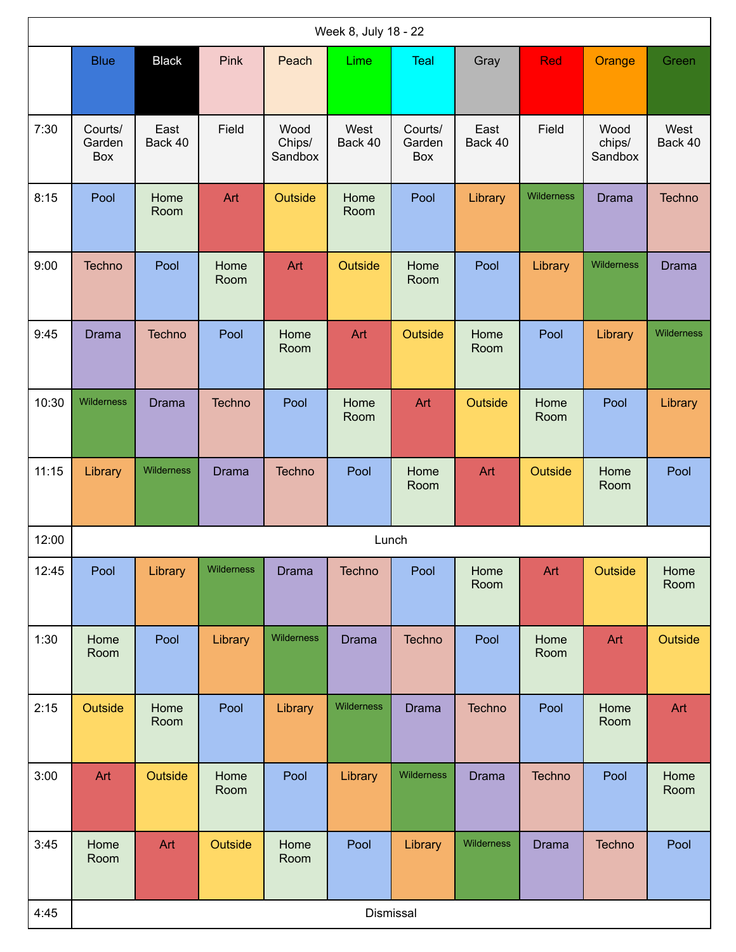|       | Week 8, July 18 - 22     |                 |              |                           |                 |                          |                 |              |                           |                 |  |  |
|-------|--------------------------|-----------------|--------------|---------------------------|-----------------|--------------------------|-----------------|--------------|---------------------------|-----------------|--|--|
|       | <b>Blue</b>              | <b>Black</b>    | Pink         | Peach                     | Lime            | Teal                     | Gray            | <b>Red</b>   | Orange                    | Green           |  |  |
| 7:30  | Courts/<br>Garden<br>Box | East<br>Back 40 | Field        | Wood<br>Chips/<br>Sandbox | West<br>Back 40 | Courts/<br>Garden<br>Box | East<br>Back 40 | Field        | Wood<br>chips/<br>Sandbox | West<br>Back 40 |  |  |
| 8:15  | Pool                     | Home<br>Room    | Art          | Outside                   | Home<br>Room    | Pool                     | Library         | Wilderness   | <b>Drama</b>              | Techno          |  |  |
| 9:00  | Techno                   | Pool            | Home<br>Room | Art                       | Outside         | Home<br>Room             | Pool            | Library      | Wilderness                | <b>Drama</b>    |  |  |
| 9:45  | <b>Drama</b>             | Techno          | Pool         | Home<br>Room              | Art             | Outside                  | Home<br>Room    | Pool         | Library                   | Wilderness      |  |  |
| 10:30 | Wilderness               | <b>Drama</b>    | Techno       | Pool                      | Home<br>Room    | Art                      | Outside         | Home<br>Room | Pool                      | Library         |  |  |
| 11:15 | Library                  | Wilderness      | <b>Drama</b> | Techno                    | Pool            | Home<br>Room             | Art             | Outside      | Home<br>Room              | Pool            |  |  |
| 12:00 |                          |                 |              |                           | Lunch           |                          |                 |              |                           |                 |  |  |
| 12:45 | Pool                     | Library         | Wilderness   | <b>Drama</b>              | Techno          | Pool                     | Home<br>Room    | Art          | Outside                   | Home<br>Room    |  |  |
| 1:30  | Home<br>Room             | Pool            | Library      | Wilderness                | <b>Drama</b>    | <b>Techno</b>            | Pool            | Home<br>Room | Art                       | Outside         |  |  |
| 2:15  | Outside                  | Home<br>Room    | Pool         | Library                   | Wilderness      | <b>Drama</b>             | Techno          | Pool         | Home<br>Room              | Art             |  |  |
| 3:00  | Art                      | Outside         | Home<br>Room | Pool                      | Library         | Wilderness               | <b>Drama</b>    | Techno       | Pool                      | Home<br>Room    |  |  |
| 3:45  | Home<br>Room             | Art             | Outside      | Home<br>Room              | Pool            | Library                  | Wilderness      | <b>Drama</b> | Techno                    | Pool            |  |  |
| 4:45  |                          |                 |              |                           |                 | Dismissal                |                 |              |                           |                 |  |  |